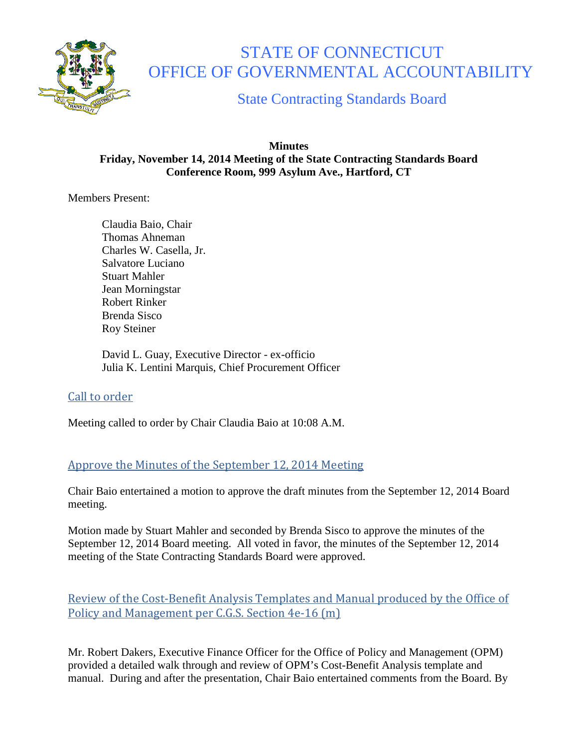

# STATE OF CONNECTICUT OFFICE OF GOVERNMENTAL ACCOUNTABILITY

State Contracting Standards Board

### **Minutes Friday, November 14, 2014 Meeting of the State Contracting Standards Board Conference Room, 999 Asylum Ave., Hartford, CT**

Members Present:

Claudia Baio, Chair Thomas Ahneman Charles W. Casella, Jr. Salvatore Luciano Stuart Mahler Jean Morningstar Robert Rinker Brenda Sisco Roy Steiner

David L. Guay, Executive Director - ex-officio Julia K. Lentini Marquis, Chief Procurement Officer

# Call to order

Meeting called to order by Chair Claudia Baio at 10:08 A.M.

# Approve the Minutes of the September 12, 2014 Meeting

Chair Baio entertained a motion to approve the draft minutes from the September 12, 2014 Board meeting.

Motion made by Stuart Mahler and seconded by Brenda Sisco to approve the minutes of the September 12, 2014 Board meeting. All voted in favor, the minutes of the September 12, 2014 meeting of the State Contracting Standards Board were approved.

Review of the Cost-Benefit Analysis Templates and Manual produced by the Office of Policy and Management per C.G.S. Section 4e-16 (m)

Mr. Robert Dakers, Executive Finance Officer for the Office of Policy and Management (OPM) provided a detailed walk through and review of OPM's Cost-Benefit Analysis template and manual. During and after the presentation, Chair Baio entertained comments from the Board. By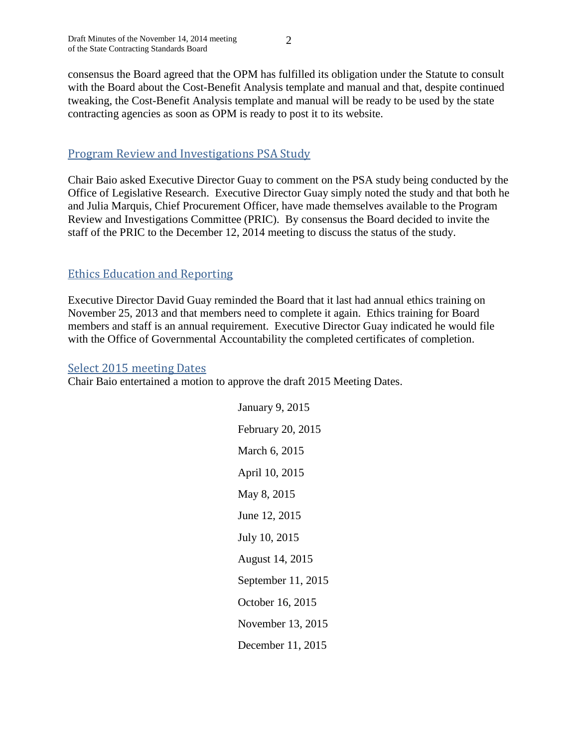consensus the Board agreed that the OPM has fulfilled its obligation under the Statute to consult with the Board about the Cost-Benefit Analysis template and manual and that, despite continued tweaking, the Cost-Benefit Analysis template and manual will be ready to be used by the state contracting agencies as soon as OPM is ready to post it to its website.

#### Program Review and Investigations PSA Study

Chair Baio asked Executive Director Guay to comment on the PSA study being conducted by the Office of Legislative Research. Executive Director Guay simply noted the study and that both he and Julia Marquis, Chief Procurement Officer, have made themselves available to the Program Review and Investigations Committee (PRIC). By consensus the Board decided to invite the staff of the PRIC to the December 12, 2014 meeting to discuss the status of the study.

### Ethics Education and Reporting

Executive Director David Guay reminded the Board that it last had annual ethics training on November 25, 2013 and that members need to complete it again. Ethics training for Board members and staff is an annual requirement. Executive Director Guay indicated he would file with the Office of Governmental Accountability the completed certificates of completion.

#### Select 2015 meeting Dates

Chair Baio entertained a motion to approve the draft 2015 Meeting Dates.

January 9, 2015 February 20, 2015 March 6, 2015 April 10, 2015 May 8, 2015 June 12, 2015 July 10, 2015 August 14, 2015 September 11, 2015 October 16, 2015 November 13, 2015 December 11, 2015